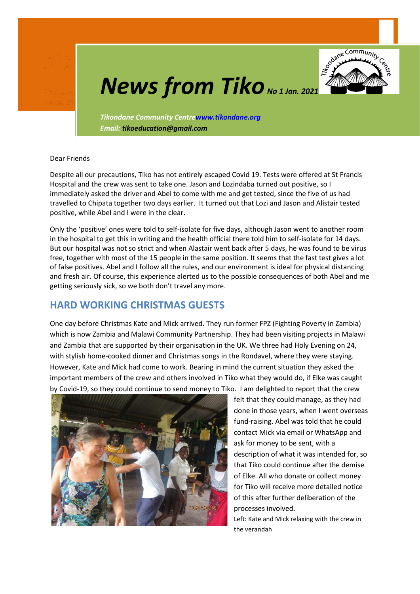

# **News from Tiko** *No 1 Jan. 2021*

*Tikondane Community Centr[ewww.tikondane.org](http://www.tikondane.org/) Email: tikoeducation@gmail.com*

Dear Friends

Despite all our precautions, Tiko has not entirely escaped Covid 19. Tests were offered at St Francis Hospital and the crew was sent to take one. Jason and Lozindaba turned out positive, so I immediately asked the driver and Abel to come with me and get tested, since the five of us had travelled to Chipata together two days earlier. It turned out that Lozi and Jason and Alistair tested positive, while Abel and I were in the clear.

Only the 'positive' ones were told to self-isolate for five days, although Jason went to another room in the hospital to get this in writing and the health official there told him to self-isolate for 14 days. But our hospital was not so strict and when Alastair went back after 5 days, he was found to be virus free, together with most of the 15 people in the same position. It seems that the fast test gives a lot of false positives. Abel and I follow all the rules, and our environment is ideal for physical distancing and fresh air. Of course, this experience alerted us to the possible consequences of both Abel and me getting seriously sick, so we both don't travel any more.

#### **HARD WORKING CHRISTMAS GUESTS**

One day before Christmas Kate and Mick arrived. They run former FPZ (Fighting Poverty in Zambia) which is now Zambia and Malawi Community Partnership. They had been visiting projects in Malawi and Zambia that are supported by their organisation in the UK. We three had Holy Evening on 24, with stylish home-cooked dinner and Christmas songs in the Rondavel, where they were staying. However, Kate and Mick had come to work. Bearing in mind the current situation they asked the important members of the crew and others involved in Tiko what they would do, if Elke was caught by Covid-19, so they could continue to send money to Tiko. I am delighted to report that the crew



felt that they could manage, as they had done in those years, when I went overseas fund-raising. Abel was told that he could contact Mick via email or WhatsApp and ask for money to be sent, with a description of what it was intended for, so that Tiko could continue after the demise of Elke. All who donate or collect money for Tiko will receive more detailed notice of this after further deliberation of the processes involved.

Left: Kate and Mick relaxing with the crew in the verandah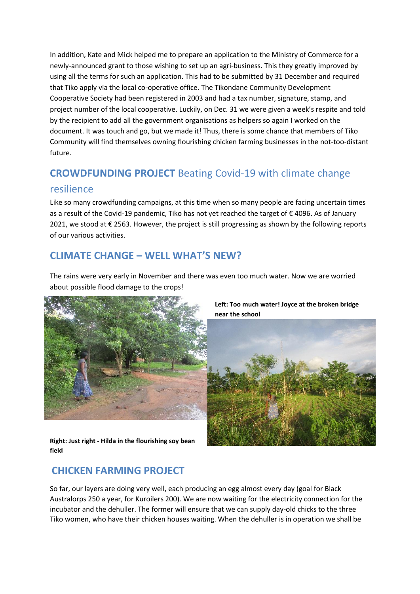In addition, Kate and Mick helped me to prepare an application to the Ministry of Commerce for a newly-announced grant to those wishing to set up an agri-business. This they greatly improved by using all the terms for such an application. This had to be submitted by 31 December and required that Tiko apply via the local co-operative office. The Tikondane Community Development Cooperative Society had been registered in 2003 and had a tax number, signature, stamp, and project number of the local cooperative. Luckily, on Dec. 31 we were given a week's respite and told by the recipient to add all the government organisations as helpers so again I worked on the document. It was touch and go, but we made it! Thus, there is some chance that members of Tiko Community will find themselves owning flourishing chicken farming businesses in the not-too-distant future.

# **CROWDFUNDING PROJECT** Beating Covid-19 with climate change resilience

Like so many crowdfunding campaigns, at this time when so many people are facing uncertain times as a result of the Covid-19 pandemic, Tiko has not yet reached the target of € 4096. As of January 2021, we stood at € 2563. However, the project is still progressing as shown by the following reports of our various activities.

### **CLIMATE CHANGE – WELL WHAT'S NEW?**

The rains were very early in November and there was even too much water. Now we are worried about possible flood damage to the crops!



**Left: Too much water! Joyce at the broken bridge near the school** 



**Right: Just right - Hilda in the flourishing soy bean field** 

## **CHICKEN FARMING PROJECT**

So far, our layers are doing very well, each producing an egg almost every day (goal for Black Australorps 250 a year, for Kuroilers 200). We are now waiting for the electricity connection for the incubator and the dehuller. The former will ensure that we can supply day-old chicks to the three Tiko women, who have their chicken houses waiting. When the dehuller is in operation we shall be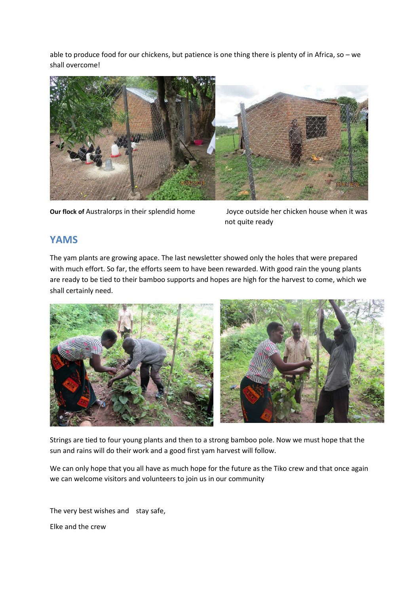able to produce food for our chickens, but patience is one thing there is plenty of in Africa, so – we shall overcome!



**Our flock of** Australorps in their splendid home Joyce outside her chicken house when it was

not quite ready

#### **YAMS**

The yam plants are growing apace. The last newsletter showed only the holes that were prepared with much effort. So far, the efforts seem to have been rewarded. With good rain the young plants are ready to be tied to their bamboo supports and hopes are high for the harvest to come, which we shall certainly need.



Strings are tied to four young plants and then to a strong bamboo pole. Now we must hope that the sun and rains will do their work and a good first yam harvest will follow.

We can only hope that you all have as much hope for the future as the Tiko crew and that once again we can welcome visitors and volunteers to join us in our community

The very best wishes and stay safe, Elke and the crew